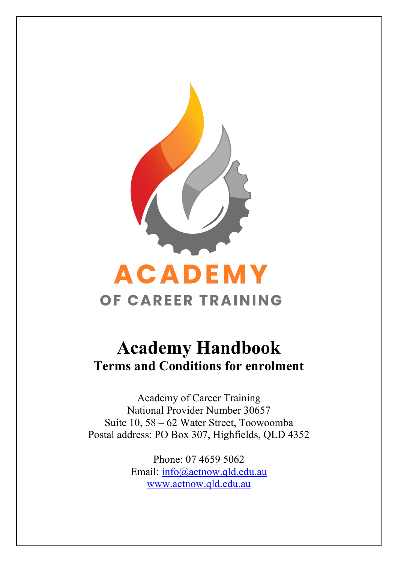

### **Academy Handbook Terms and Conditions for enrolment**

Academy of Career Training National Provider Number 30657 Suite 10, 58 – 62 Water Street, Toowoomba Postal address: PO Box 307, Highfields, QLD 4352

> Phone: 07 4659 5062 Email: [info@actnow.qld.edu.au](mailto:info@actnow.qld.edu.au) [www.actnow.qld.edu.au](http://www.actnow.qld.edu.au/)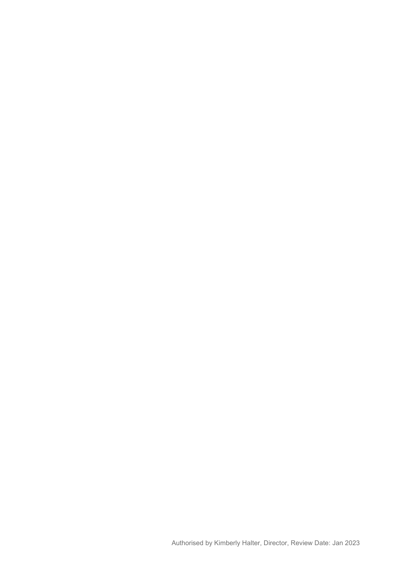Authorised by Kimberly Halter, Director, Review Date: Jan 2023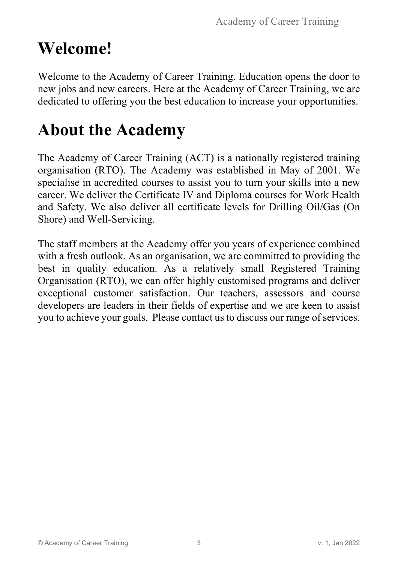## **Welcome!**

Welcome to the Academy of Career Training. Education opens the door to new jobs and new careers. Here at the Academy of Career Training, we are dedicated to offering you the best education to increase your opportunities.

### **About the Academy**

The Academy of Career Training (ACT) is a nationally registered training organisation (RTO). The Academy was established in May of 2001. We specialise in accredited courses to assist you to turn your skills into a new career. We deliver the Certificate IV and Diploma courses for Work Health and Safety. We also deliver all certificate levels for Drilling Oil/Gas (On Shore) and Well-Servicing.

The staff members at the Academy offer you years of experience combined with a fresh outlook. As an organisation, we are committed to providing the best in quality education. As a relatively small Registered Training Organisation (RTO), we can offer highly customised programs and deliver exceptional customer satisfaction. Our teachers, assessors and course developers are leaders in their fields of expertise and we are keen to assist you to achieve your goals. Please contact us to discuss our range of services.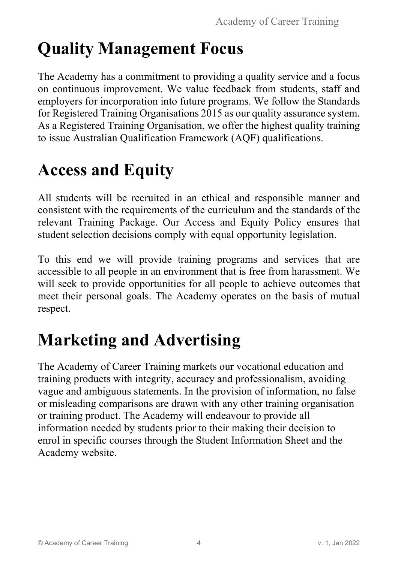# **Quality Management Focus**

The Academy has a commitment to providing a quality service and a focus on continuous improvement. We value feedback from students, staff and employers for incorporation into future programs. We follow the Standards for Registered Training Organisations 2015 as our quality assurance system. As a Registered Training Organisation, we offer the highest quality training to issue Australian Qualification Framework (AQF) qualifications.

## **Access and Equity**

All students will be recruited in an ethical and responsible manner and consistent with the requirements of the curriculum and the standards of the relevant Training Package. Our Access and Equity Policy ensures that student selection decisions comply with equal opportunity legislation.

To this end we will provide training programs and services that are accessible to all people in an environment that is free from harassment. We will seek to provide opportunities for all people to achieve outcomes that meet their personal goals. The Academy operates on the basis of mutual respect.

## **Marketing and Advertising**

The Academy of Career Training markets our vocational education and training products with integrity, accuracy and professionalism, avoiding vague and ambiguous statements. In the provision of information, no false or misleading comparisons are drawn with any other training organisation or training product. The Academy will endeavour to provide all information needed by students prior to their making their decision to enrol in specific courses through the Student Information Sheet and the Academy website.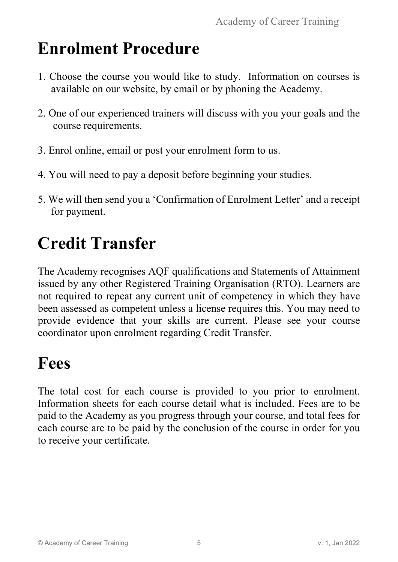## **Enrolment Procedure**

- 1. Choose the course you would like to study. Information on courses is available on our website, by email or by phoning the Academy.
- 2. One of our experienced trainers will discuss with you your goals and the course requirements.
- 3. Enrol online, email or post your enrolment form to us.
- 4. You will need to pay a deposit before beginning your studies.
- 5. We will then send you a 'Confirmation of Enrolment Letter' and a receipt for payment.

## **Credit Transfer**

The Academy recognises AQF qualifications and Statements of Attainment issued by any other Registered Training Organisation (RTO). Learners are not required to repeat any current unit of competency in which they have been assessed as competent unless a license requires this. You may need to provide evidence that your skills are current. Please see your course coordinator upon enrolment regarding Credit Transfer.

### **Fees**

The total cost for each course is provided to you prior to enrolment. Information sheets for each course detail what is included. Fees are to be paid to the Academy as you progress through your course, and total fees for each course are to be paid by the conclusion of the course in order for you to receive your certificate.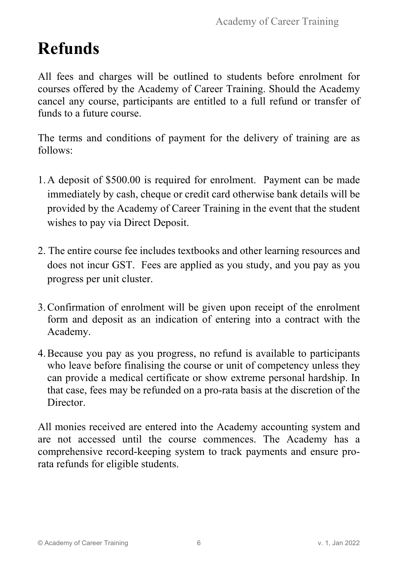## **Refunds**

All fees and charges will be outlined to students before enrolment for courses offered by the Academy of Career Training. Should the Academy cancel any course, participants are entitled to a full refund or transfer of funds to a future course.

The terms and conditions of payment for the delivery of training are as follows:

- 1.A deposit of \$500.00 is required for enrolment. Payment can be made immediately by cash, cheque or credit card otherwise bank details will be provided by the Academy of Career Training in the event that the student wishes to pay via Direct Deposit.
- 2. The entire course fee includes textbooks and other learning resources and does not incur GST. Fees are applied as you study, and you pay as you progress per unit cluster.
- 3.Confirmation of enrolment will be given upon receipt of the enrolment form and deposit as an indication of entering into a contract with the Academy.
- 4.Because you pay as you progress, no refund is available to participants who leave before finalising the course or unit of competency unless they can provide a medical certificate or show extreme personal hardship. In that case, fees may be refunded on a pro-rata basis at the discretion of the Director.

All monies received are entered into the Academy accounting system and are not accessed until the course commences. The Academy has a comprehensive record-keeping system to track payments and ensure prorata refunds for eligible students.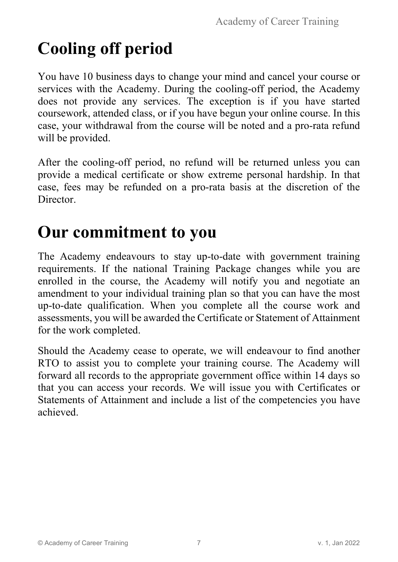# **Cooling off period**

You have 10 business days to change your mind and cancel your course or services with the Academy. During the cooling-off period, the Academy does not provide any services. The exception is if you have started coursework, attended class, or if you have begun your online course. In this case, your withdrawal from the course will be noted and a pro-rata refund will be provided.

After the cooling-off period, no refund will be returned unless you can provide a medical certificate or show extreme personal hardship. In that case, fees may be refunded on a pro-rata basis at the discretion of the Director.

### **Our commitment to you**

The Academy endeavours to stay up-to-date with government training requirements. If the national Training Package changes while you are enrolled in the course, the Academy will notify you and negotiate an amendment to your individual training plan so that you can have the most up-to-date qualification. When you complete all the course work and assessments, you will be awarded the Certificate or Statement of Attainment for the work completed.

Should the Academy cease to operate, we will endeavour to find another RTO to assist you to complete your training course. The Academy will forward all records to the appropriate government office within 14 days so that you can access your records. We will issue you with Certificates or Statements of Attainment and include a list of the competencies you have achieved.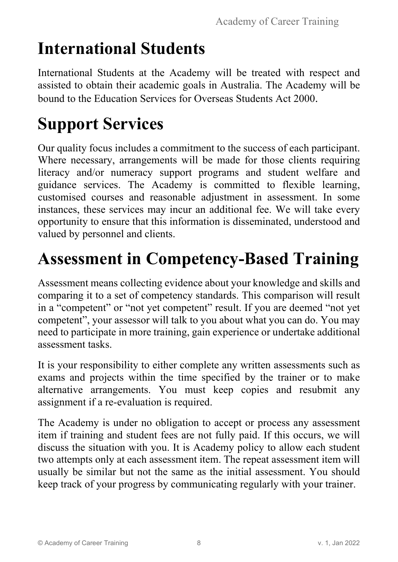## **International Students**

International Students at the Academy will be treated with respect and assisted to obtain their academic goals in Australia. The Academy will be bound to the Education Services for Overseas Students Act 2000.

## **Support Services**

Our quality focus includes a commitment to the success of each participant. Where necessary, arrangements will be made for those clients requiring literacy and/or numeracy support programs and student welfare and guidance services. The Academy is committed to flexible learning, customised courses and reasonable adjustment in assessment. In some instances, these services may incur an additional fee. We will take every opportunity to ensure that this information is disseminated, understood and valued by personnel and clients.

## **Assessment in Competency-Based Training**

Assessment means collecting evidence about your knowledge and skills and comparing it to a set of competency standards. This comparison will result in a "competent" or "not yet competent" result. If you are deemed "not yet competent", your assessor will talk to you about what you can do. You may need to participate in more training, gain experience or undertake additional assessment tasks.

It is your responsibility to either complete any written assessments such as exams and projects within the time specified by the trainer or to make alternative arrangements. You must keep copies and resubmit any assignment if a re-evaluation is required.

The Academy is under no obligation to accept or process any assessment item if training and student fees are not fully paid. If this occurs, we will discuss the situation with you. It is Academy policy to allow each student two attempts only at each assessment item. The repeat assessment item will usually be similar but not the same as the initial assessment. You should keep track of your progress by communicating regularly with your trainer.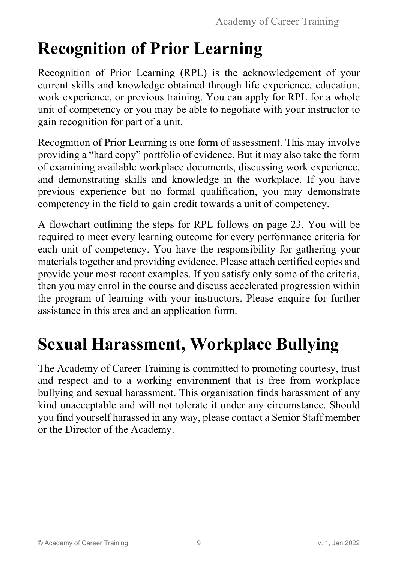## **Recognition of Prior Learning**

Recognition of Prior Learning (RPL) is the acknowledgement of your current skills and knowledge obtained through life experience, education, work experience, or previous training. You can apply for RPL for a whole unit of competency or you may be able to negotiate with your instructor to gain recognition for part of a unit.

Recognition of Prior Learning is one form of assessment. This may involve providing a "hard copy" portfolio of evidence. But it may also take the form of examining available workplace documents, discussing work experience, and demonstrating skills and knowledge in the workplace. If you have previous experience but no formal qualification, you may demonstrate competency in the field to gain credit towards a unit of competency.

A flowchart outlining the steps for RPL follows on page 23. You will be required to meet every learning outcome for every performance criteria for each unit of competency. You have the responsibility for gathering your materials together and providing evidence. Please attach certified copies and provide your most recent examples. If you satisfy only some of the criteria, then you may enrol in the course and discuss accelerated progression within the program of learning with your instructors. Please enquire for further assistance in this area and an application form.

## **Sexual Harassment, Workplace Bullying**

The Academy of Career Training is committed to promoting courtesy, trust and respect and to a working environment that is free from workplace bullying and sexual harassment. This organisation finds harassment of any kind unacceptable and will not tolerate it under any circumstance. Should you find yourself harassed in any way, please contact a Senior Staff member or the Director of the Academy.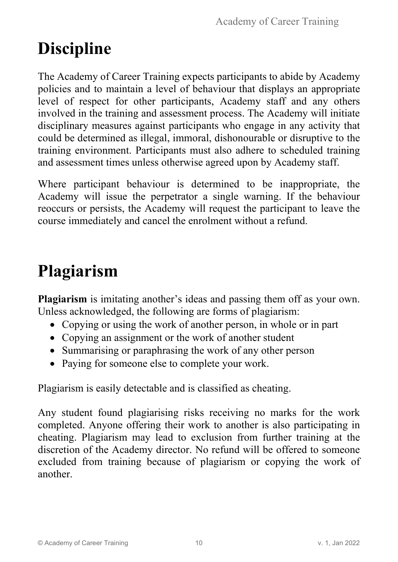# **Discipline**

The Academy of Career Training expects participants to abide by Academy policies and to maintain a level of behaviour that displays an appropriate level of respect for other participants, Academy staff and any others involved in the training and assessment process. The Academy will initiate disciplinary measures against participants who engage in any activity that could be determined as illegal, immoral, dishonourable or disruptive to the training environment. Participants must also adhere to scheduled training and assessment times unless otherwise agreed upon by Academy staff.

Where participant behaviour is determined to be inappropriate, the Academy will issue the perpetrator a single warning. If the behaviour reoccurs or persists, the Academy will request the participant to leave the course immediately and cancel the enrolment without a refund.

## **Plagiarism**

**Plagiarism** is imitating another's ideas and passing them off as your own. Unless acknowledged, the following are forms of plagiarism:

- Copying or using the work of another person, in whole or in part
- Copying an assignment or the work of another student
- Summarising or paraphrasing the work of any other person
- Paying for someone else to complete your work.

Plagiarism is easily detectable and is classified as cheating.

Any student found plagiarising risks receiving no marks for the work completed. Anyone offering their work to another is also participating in cheating. Plagiarism may lead to exclusion from further training at the discretion of the Academy director. No refund will be offered to someone excluded from training because of plagiarism or copying the work of another.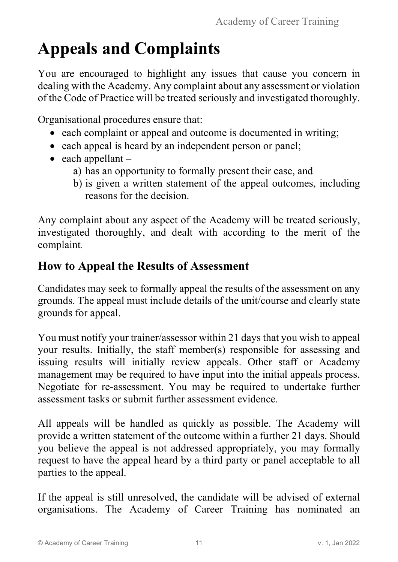# **Appeals and Complaints**

You are encouraged to highlight any issues that cause you concern in dealing with the Academy. Any complaint about any assessment or violation of the Code of Practice will be treated seriously and investigated thoroughly.

Organisational procedures ensure that:

- each complaint or appeal and outcome is documented in writing;
- each appeal is heard by an independent person or panel;
- $\bullet$  each appellant
	- a) has an opportunity to formally present their case, and
	- b) is given a written statement of the appeal outcomes, including reasons for the decision.

Any complaint about any aspect of the Academy will be treated seriously, investigated thoroughly, and dealt with according to the merit of the complaint.

#### **How to Appeal the Results of Assessment**

Candidates may seek to formally appeal the results of the assessment on any grounds. The appeal must include details of the unit/course and clearly state grounds for appeal.

You must notify your trainer/assessor within 21 days that you wish to appeal your results. Initially, the staff member(s) responsible for assessing and issuing results will initially review appeals. Other staff or Academy management may be required to have input into the initial appeals process. Negotiate for re-assessment. You may be required to undertake further assessment tasks or submit further assessment evidence.

All appeals will be handled as quickly as possible. The Academy will provide a written statement of the outcome within a further 21 days. Should you believe the appeal is not addressed appropriately, you may formally request to have the appeal heard by a third party or panel acceptable to all parties to the appeal.

If the appeal is still unresolved, the candidate will be advised of external organisations. The Academy of Career Training has nominated an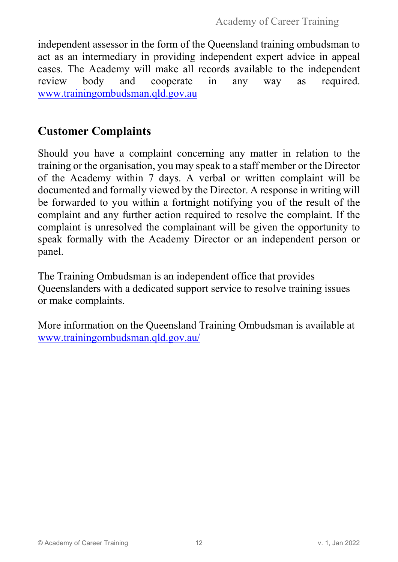independent assessor in the form of the Queensland training ombudsman to act as an intermediary in providing independent expert advice in appeal cases. The Academy will make all records available to the independent review body and cooperate in any way as required. [www.trainingombudsman.qld.gov.au](http://www.trainingombudsman.qld.gov.au/)

#### **Customer Complaints**

Should you have a complaint concerning any matter in relation to the training or the organisation, you may speak to a staff member or the Director of the Academy within 7 days. A verbal or written complaint will be documented and formally viewed by the Director. A response in writing will be forwarded to you within a fortnight notifying you of the result of the complaint and any further action required to resolve the complaint. If the complaint is unresolved the complainant will be given the opportunity to speak formally with the Academy Director or an independent person or panel.

The Training Ombudsman is an independent office that provides Queenslanders with a dedicated support service to resolve training issues or make complaints.

More information on the Queensland Training Ombudsman is available at [www.trainingombudsman.qld.gov.au/](http://trainingombudsman.qld.gov.au/)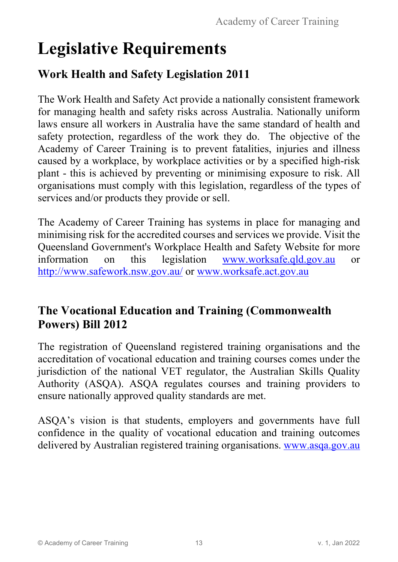## **Legislative Requirements**

#### **Work Health and Safety Legislation 2011**

The Work Health and Safety Act provide a nationally consistent framework for managing health and safety risks across Australia. Nationally uniform laws ensure all workers in Australia have the same standard of health and safety protection, regardless of the work they do. The objective of the Academy of Career Training is to prevent fatalities, injuries and illness caused by a workplace, by workplace activities or by a specified high-risk plant - this is achieved by preventing or minimising exposure to risk. All organisations must comply with this legislation, regardless of the types of services and/or products they provide or sell.

The Academy of Career Training has systems in place for managing and minimising risk for the accredited courses and services we provide. Visit the Queensland Government's Workplace Health and Safety Website for more information on this legislation [www.worksafe.qld.gov.au](http://www.worksafe.qld.gov.au/) or <http://www.safework.nsw.gov.au/> or [www.worksafe.act.gov.au](http://www.worksafe.act.gov.au/)

#### **The Vocational Education and Training (Commonwealth Powers) Bill 2012**

The registration of Queensland registered training organisations and the accreditation of vocational education and training courses comes under the jurisdiction of the national VET regulator, the Australian Skills Quality Authority (ASQA). ASQA regulates courses and training providers to ensure nationally approved quality standards are met.

ASQA's vision is that students, employers and governments have full confidence in the quality of vocational education and training outcomes delivered by Australian registered training organisations. [www.asqa.gov.au](http://www.asqa.gov.au/)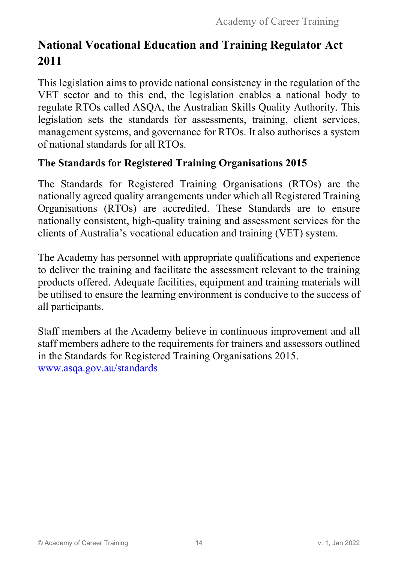#### **National Vocational Education and Training Regulator Act 2011**

This legislation aims to provide national consistency in the regulation of the VET sector and to this end, the legislation enables a national body to regulate RTOs called ASQA, the Australian Skills Quality Authority. This legislation sets the standards for assessments, training, client services, management systems, and governance for RTOs. It also authorises a system of national standards for all RTOs.

#### **The Standards for Registered Training Organisations 2015**

The Standards for Registered Training Organisations (RTOs) are the nationally agreed quality arrangements under which all Registered Training Organisations (RTOs) are accredited. These Standards are to ensure nationally consistent, high-quality training and assessment services for the clients of Australia's vocational education and training (VET) system.

The Academy has personnel with appropriate qualifications and experience to deliver the training and facilitate the assessment relevant to the training products offered. Adequate facilities, equipment and training materials will be utilised to ensure the learning environment is conducive to the success of all participants.

Staff members at the Academy believe in continuous improvement and all staff members adhere to the requirements for trainers and assessors outlined in the Standards for Registered Training Organisations 2015. [www.asqa.gov.au/standards](http://www.asqa.gov.au/standards)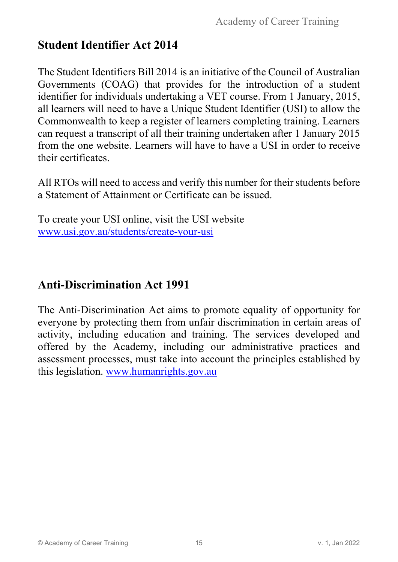#### **Student Identifier Act 2014**

The Student Identifiers Bill 2014 is an initiative of the Council of Australian Governments (COAG) that provides for the introduction of a student identifier for individuals undertaking a VET course. From 1 January, 2015, all learners will need to have a Unique Student Identifier (USI) to allow the Commonwealth to keep a register of learners completing training. Learners can request a transcript of all their training undertaken after 1 January 2015 from the one website. Learners will have to have a USI in order to receive their certificates.

All RTOs will need to access and verify this number for their students before a Statement of Attainment or Certificate can be issued.

To create your USI online, visit the USI website [www.usi.gov.au/students/create-your-usi](https://www.usi.gov.au/students/create-your-usi)

#### **Anti-Discrimination Act 1991**

The Anti-Discrimination Act aims to promote equality of opportunity for everyone by protecting them from unfair discrimination in certain areas of activity, including education and training. The services developed and offered by the Academy, including our administrative practices and assessment processes, must take into account the principles established by this legislation. [www.humanrights.gov.au](http://www.humanrights.gov.au/)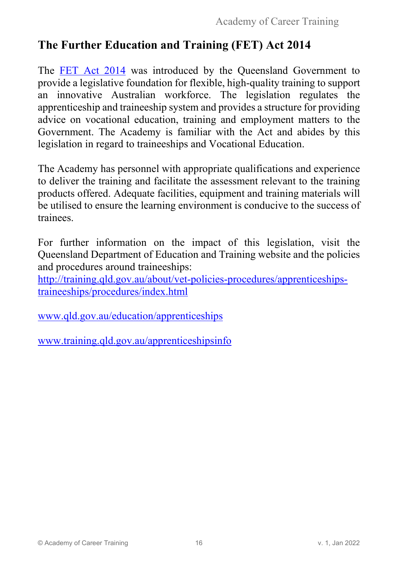#### **The Further Education and Training (FET) Act 2014**

The [FET Act 2014](http://www.legislation.qld.gov.au/LEGISLTN/CURRENT/V/VocEdTrEmA00.pdf) was introduced by the Queensland Government to provide a legislative foundation for flexible, high-quality training to support an innovative Australian workforce. The legislation regulates the apprenticeship and traineeship system and provides a structure for providing advice on vocational education, training and employment matters to the Government. The Academy is familiar with the Act and abides by this legislation in regard to traineeships and Vocational Education.

The Academy has personnel with appropriate qualifications and experience to deliver the training and facilitate the assessment relevant to the training products offered. Adequate facilities, equipment and training materials will be utilised to ensure the learning environment is conducive to the success of trainees.

For further information on the impact of this legislation, visit the Queensland Department of Education and Training website and the policies and procedures around traineeships:

[http://training.qld.gov.au/about/vet-policies-procedures/apprenticeships](http://training.qld.gov.au/about/vet-policies-procedures/apprenticeships-traineeships/procedures/index.html)[traineeships/procedures/index.html](http://training.qld.gov.au/about/vet-policies-procedures/apprenticeships-traineeships/procedures/index.html)

[www.qld.gov.au/education/apprenticeships](https://www.qld.gov.au/education/apprenticeships)

[www.training.qld.gov.au/apprenticeshipsinfo](https://training.qld.gov.au/apprenticeshipsinfo)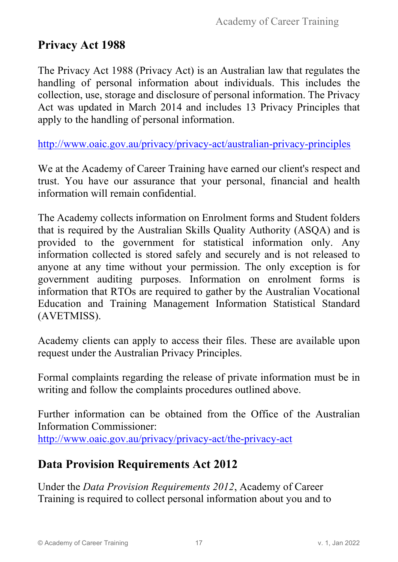#### **Privacy Act 1988**

The Privacy Act 1988 (Privacy Act) is an Australian law that regulates the handling of personal information about individuals. This includes the collection, use, storage and disclosure of personal information. The Privacy Act was updated in March 2014 and includes 13 Privacy Principles that apply to the handling of personal information.

<http://www.oaic.gov.au/privacy/privacy-act/australian-privacy-principles>

We at the Academy of Career Training have earned our client's respect and trust. You have our assurance that your personal, financial and health information will remain confidential.

The Academy collects information on Enrolment forms and Student folders that is required by the Australian Skills Quality Authority (ASQA) and is provided to the government for statistical information only. Any information collected is stored safely and securely and is not released to anyone at any time without your permission. The only exception is for government auditing purposes. Information on enrolment forms is information that RTOs are required to gather by the Australian Vocational Education and Training Management Information Statistical Standard (AVETMISS).

Academy clients can apply to access their files. These are available upon request under the Australian Privacy Principles.

Formal complaints regarding the release of private information must be in writing and follow the complaints procedures outlined above.

Further information can be obtained from the Office of the Australian Information Commissioner:

<http://www.oaic.gov.au/privacy/privacy-act/the-privacy-act>

#### **Data Provision Requirements Act 2012**

Under the *Data Provision Requirements 2012*, Academy of Career Training is required to collect personal information about you and to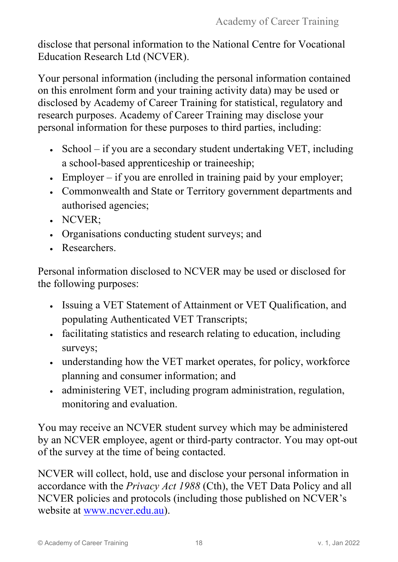disclose that personal information to the National Centre for Vocational Education Research Ltd (NCVER).

Your personal information (including the personal information contained on this enrolment form and your training activity data) may be used or disclosed by Academy of Career Training for statistical, regulatory and research purposes. Academy of Career Training may disclose your personal information for these purposes to third parties, including:

- School if you are a secondary student undertaking VET, including a school-based apprenticeship or traineeship;
- Employer if you are enrolled in training paid by your employer;
- Commonwealth and State or Territory government departments and authorised agencies;
- NCVER;
- Organisations conducting student surveys; and
- Researchers.

Personal information disclosed to NCVER may be used or disclosed for the following purposes:

- Issuing a VET Statement of Attainment or VET Qualification, and populating Authenticated VET Transcripts;
- facilitating statistics and research relating to education, including surveys;
- understanding how the VET market operates, for policy, workforce planning and consumer information; and
- administering VET, including program administration, regulation, monitoring and evaluation.

You may receive an NCVER student survey which may be administered by an NCVER employee, agent or third-party contractor. You may opt-out of the survey at the time of being contacted.

NCVER will collect, hold, use and disclose your personal information in accordance with the *Privacy Act 1988* (Cth), the VET Data Policy and all NCVER policies and protocols (including those published on NCVER's website at [www.ncver.edu.au\)](http://www.ncver.edu.au/).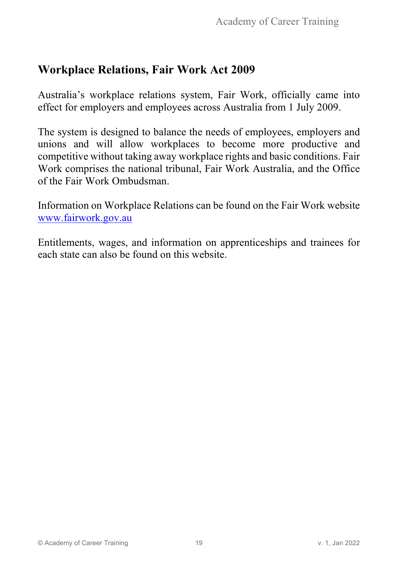#### **Workplace Relations, Fair Work Act 2009**

Australia's workplace relations system, Fair Work, officially came into effect for employers and employees across Australia from 1 July 2009.

The system is designed to balance the needs of employees, employers and unions and will allow workplaces to become more productive and competitive without taking away workplace rights and basic conditions. Fair Work comprises the national tribunal, Fair Work Australia, and the Office of the Fair Work Ombudsman.

Information on Workplace Relations can be found on the Fair Work website [www.fairwork.gov.au](http://www.fairwork.gov.au/)

Entitlements, wages, and information on apprenticeships and trainees for each state can also be found on this website.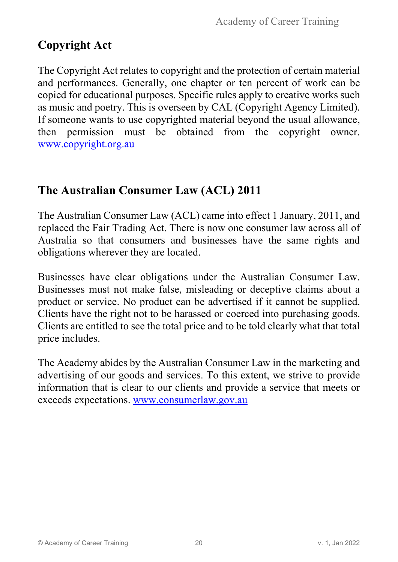#### **Copyright Act**

The Copyright Act relates to copyright and the protection of certain material and performances. Generally, one chapter or ten percent of work can be copied for educational purposes. Specific rules apply to creative works such as music and poetry. This is overseen by CAL (Copyright Agency Limited). If someone wants to use copyrighted material beyond the usual allowance, then permission must be obtained from the copyright owner. [www.copyright.org.au](http://www.copyright.org.au/)

#### **The Australian Consumer Law (ACL) 2011**

The Australian Consumer Law (ACL) came into effect 1 January, 2011, and replaced the Fair Trading Act. There is now one consumer law across all of Australia so that consumers and businesses have the same rights and obligations wherever they are located.

Businesses have clear obligations under the Australian Consumer Law. Businesses must not make false, misleading or deceptive claims about a product or service. No product can be advertised if it cannot be supplied. Clients have the right not to be harassed or coerced into purchasing goods. Clients are entitled to see the total price and to be told clearly what that total price includes.

The Academy abides by the Australian Consumer Law in the marketing and advertising of our goods and services. To this extent, we strive to provide information that is clear to our clients and provide a service that meets or exceeds expectations. [www.consumerlaw.gov.au](http://www.consumerlaw.gov.au/)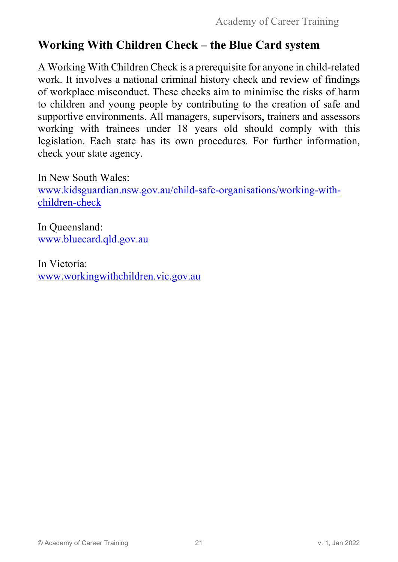#### **Working With Children Check – the Blue Card system**

A Working With Children Check is a prerequisite for anyone in child-related work. It involves a national criminal history check and review of findings of workplace misconduct. These checks aim to minimise the risks of harm to children and young people by contributing to the creation of safe and supportive environments. All managers, supervisors, trainers and assessors working with trainees under 18 years old should comply with this legislation. Each state has its own procedures. For further information, check your state agency.

In New South Wales: [www.kidsguardian.nsw.gov.au/child-safe-organisations/working-with](http://www.kidsguardian.nsw.gov.au/child-safe-organisations/working-with-children-check)[children-check](http://www.kidsguardian.nsw.gov.au/child-safe-organisations/working-with-children-check)

In Queensland: [www.bluecard.qld.gov.au](http://www.bluecard.qld.gov.au/)

In Victoria: [www.workingwithchildren.vic.gov.au](http://www.workingwithchildren.vic.gov.au/)